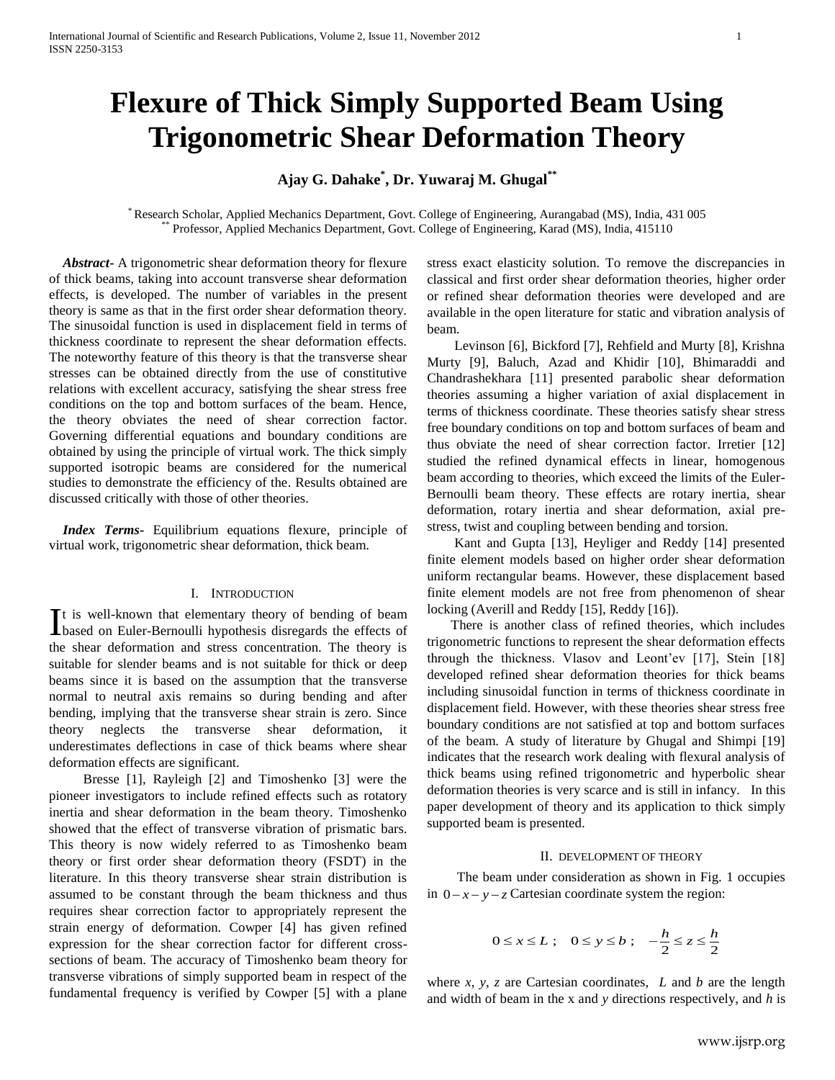# **Flexure of Thick Simply Supported Beam Using Trigonometric Shear Deformation Theory**

## **Ajay G. Dahake\* , Dr. Yuwaraj M. Ghugal\*\***

\* Research Scholar, Applied Mechanics Department, Govt. College of Engineering, Aurangabad (MS), India, 431 005 \*\* Professor, Applied Mechanics Department, Govt. College of Engineering, Karad (MS), India, 415110

 *Abstract***-** A trigonometric shear deformation theory for flexure of thick beams, taking into account transverse shear deformation effects, is developed. The number of variables in the present theory is same as that in the first order shear deformation theory. The sinusoidal function is used in displacement field in terms of thickness coordinate to represent the shear deformation effects. The noteworthy feature of this theory is that the transverse shear stresses can be obtained directly from the use of constitutive relations with excellent accuracy, satisfying the shear stress free conditions on the top and bottom surfaces of the beam. Hence, the theory obviates the need of shear correction factor. Governing differential equations and boundary conditions are obtained by using the principle of virtual work. The thick simply supported isotropic beams are considered for the numerical studies to demonstrate the efficiency of the. Results obtained are discussed critically with those of other theories.

 *Index Terms***-** Equilibrium equations flexure, principle of virtual work, trigonometric shear deformation, thick beam.

#### I. INTRODUCTION

t is well-known that elementary theory of bending of beam It is well-known that elementary theory of bending of beam based on Euler-Bernoulli hypothesis disregards the effects of the shear deformation and stress concentration. The theory is suitable for slender beams and is not suitable for thick or deep beams since it is based on the assumption that the transverse normal to neutral axis remains so during bending and after bending, implying that the transverse shear strain is zero. Since theory neglects the transverse shear deformation, it underestimates deflections in case of thick beams where shear deformation effects are significant.

 Bresse [1], Rayleigh [2] and Timoshenko [3] were the pioneer investigators to include refined effects such as rotatory inertia and shear deformation in the beam theory. Timoshenko showed that the effect of transverse vibration of prismatic bars. This theory is now widely referred to as Timoshenko beam theory or first order shear deformation theory (FSDT) in the literature. In this theory transverse shear strain distribution is assumed to be constant through the beam thickness and thus requires shear correction factor to appropriately represent the strain energy of deformation. Cowper [4] has given refined expression for the shear correction factor for different crosssections of beam. The accuracy of Timoshenko beam theory for transverse vibrations of simply supported beam in respect of the fundamental frequency is verified by Cowper [5] with a plane stress exact elasticity solution. To remove the discrepancies in classical and first order shear deformation theories, higher order or refined shear deformation theories were developed and are available in the open literature for static and vibration analysis of beam.

 Levinson [6], Bickford [7], Rehfield and Murty [8], Krishna Murty [9], Baluch, Azad and Khidir [10], Bhimaraddi and Chandrashekhara [11] presented parabolic shear deformation theories assuming a higher variation of axial displacement in terms of thickness coordinate. These theories satisfy shear stress free boundary conditions on top and bottom surfaces of beam and thus obviate the need of shear correction factor. Irretier [12] studied the refined dynamical effects in linear, homogenous beam according to theories, which exceed the limits of the Euler-Bernoulli beam theory. These effects are rotary inertia, shear deformation, rotary inertia and shear deformation, axial prestress, twist and coupling between bending and torsion.

 Kant and Gupta [13], Heyliger and Reddy [14] presented finite element models based on higher order shear deformation uniform rectangular beams. However, these displacement based finite element models are not free from phenomenon of shear locking (Averill and Reddy [15], Reddy [16]).

 There is another class of refined theories, which includes trigonometric functions to represent the shear deformation effects through the thickness. Vlasov and Leont'ev [17], Stein [18] developed refined shear deformation theories for thick beams including sinusoidal function in terms of thickness coordinate in displacement field. However, with these theories shear stress free boundary conditions are not satisfied at top and bottom surfaces of the beam. A study of literature by Ghugal and Shimpi [19] indicates that the research work dealing with flexural analysis of thick beams using refined trigonometric and hyperbolic shear deformation theories is very scarce and is still in infancy. In this paper development of theory and its application to thick simply supported beam is presented.

#### II. DEVELOPMENT OF THEORY

 The beam under consideration as shown in Fig. 1 occupies in  $0-x-y-z$  Cartesian coordinate system the region:

$$
0 \le x \le L \; ; \quad 0 \le y \le b \; ; \quad -\frac{h}{2} \le z \le \frac{h}{2}
$$

where *x*, *y*, *z* are Cartesian coordinates, *L* and *b* are the length and width of beam in the x and *y* directions respectively, and *h* is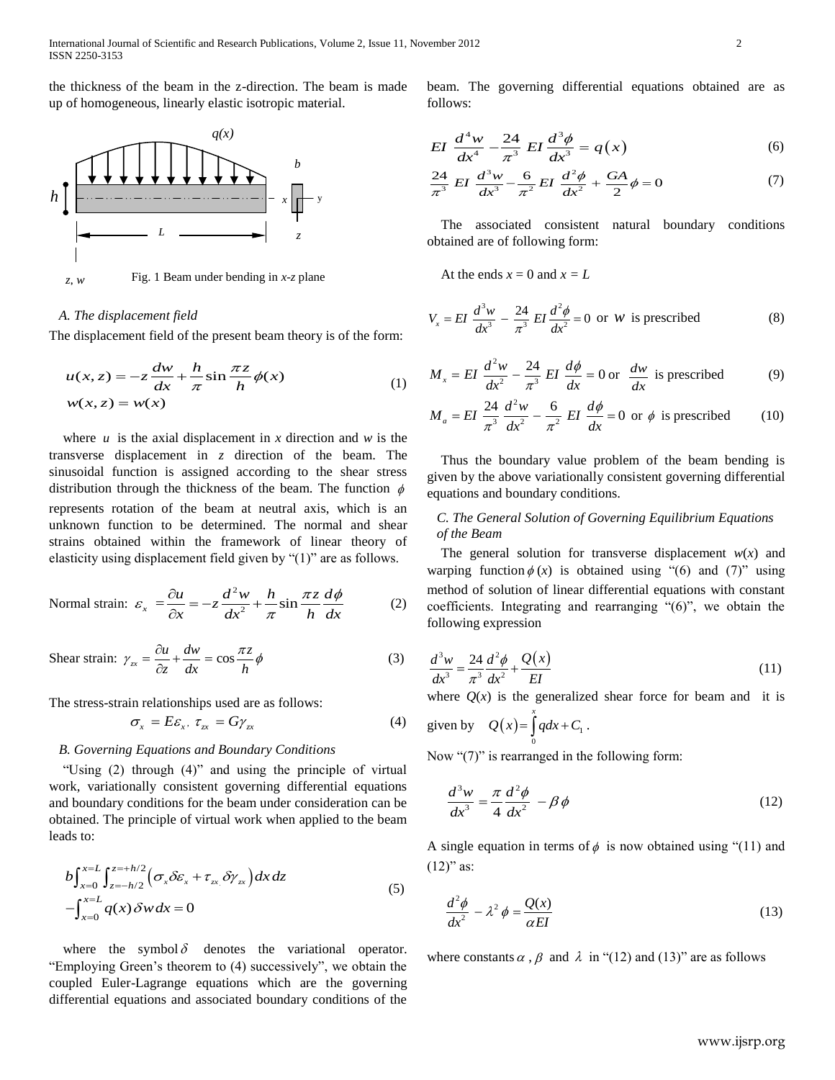the thickness of the beam in the z-direction. The beam is made up of homogeneous, linearly elastic isotropic material.



## *A. The displacement field*

The displacement field of the present beam theory is of the form:

$$
u(x, z) = -z \frac{dw}{dx} + \frac{h}{\pi} \sin \frac{\pi z}{h} \phi(x)
$$
  

$$
w(x, z) = w(x)
$$
 (1)

where  $u$  is the axial displacement in  $x$  direction and  $w$  is the transverse displacement in *z* direction of the beam. The sinusoidal function is assigned according to the shear stress distribution through the thickness of the beam. The function  $\phi$ represents rotation of the beam at neutral axis, which is an unknown function to be determined. The normal and shear strains obtained within the framework of linear theory of elasticity using displacement field given by  $(1)$ " are as follows.

Normal strain: 
$$
\varepsilon_x = \frac{\partial u}{\partial x} = -z \frac{d^2 w}{dx^2} + \frac{h}{\pi} \sin \frac{\pi z}{h} \frac{d\phi}{dx}
$$
 (2)

Shear strain: 
$$
\gamma_{zx} = \frac{\partial u}{\partial z} + \frac{dw}{dx} = \cos \frac{\pi z}{h} \phi
$$
 (3)

The stress-strain relationships used are as follows:

$$
\sigma_x = E \varepsilon_x, \ \tau_{zx} = G \gamma_{zx} \tag{4}
$$

## *B. Governing Equations and Boundary Conditions*

"Using (2) through (4)" and using the principle of virtual work, variationally consistent governing differential equations and boundary conditions for the beam under consideration can be obtained. The principle of virtual work when applied to the beam leads to:

$$
b \int_{x=0}^{x=L} \int_{z=-h/2}^{z=h/2} \left( \sigma_x \delta \varepsilon_x + \tau_{zx} \, \delta \gamma_{zx} \right) dx \, dz
$$
  
 
$$
- \int_{x=0}^{x=L} q(x) \, \delta w \, dx = 0 \tag{5}
$$

where the symbol  $\delta$  denotes the variational operator. "Employing Green's theorem to (4) successively", we obtain the coupled Euler-Lagrange equations which are the governing differential equations and associated boundary conditions of the

beam. The governing differential equations obtained are as follows:

EI 
$$
\frac{d^4 w}{dx^4} - \frac{24}{\pi^3} EI \frac{d^3 \phi}{dx^3} = q(x)
$$
 (6)

$$
\frac{dx^4}{\pi^3} \frac{\pi^3}{dx^3} dx^3 = \frac{dx^3}{\pi^2} \frac{dx^4}{dx^2} + \frac{G}{2}A = 0
$$
 (7)

The associated consistent natural boundary conditions obtained are of following form:

At the ends  $x = 0$  and  $x = L$ 

$$
V_x = EI \frac{d^3 w}{dx^3} - \frac{24}{\pi^3} EI \frac{d^2 \phi}{dx^2} = 0 \text{ or } W \text{ is prescribed}
$$
 (8)

$$
M_x = EI \frac{d^2 w}{dx^2} - \frac{24}{\pi^3} EI \frac{d\phi}{dx} = 0 \text{ or } \frac{dw}{dx} \text{ is prescribed}
$$
 (9)

$$
M_a = EI \frac{24}{\pi^3} \frac{d^2 w}{dx^2} - \frac{6}{\pi^2} EI \frac{d\phi}{dx} = 0 \text{ or } \phi \text{ is prescribed}
$$
 (10)

Thus the boundary value problem of the beam bending is given by the above variationally consistent governing differential equations and boundary conditions.

## *C. The General Solution of Governing Equilibrium Equations of the Beam*

The general solution for transverse displacement  $w(x)$  and warping function  $\phi(x)$  is obtained using "(6) and (7)" using method of solution of linear differential equations with constant coefficients. Integrating and rearranging  $(6)$ , we obtain the following expression

$$
\frac{d^3w}{dx^3} = \frac{24}{\pi^3} \frac{d^2\phi}{dx^2} + \frac{Q(x)}{EI}
$$
\n(11)

where  $Q(x)$  is the generalized shear force for beam and it is *x*

given by 
$$
Q(x) = \int_0^x q dx + C_1
$$
.

Now " $(7)$ " is rearranged in the following form:

$$
\frac{d^3w}{dx^3} = \frac{\pi}{4} \frac{d^2\phi}{dx^2} - \beta\phi
$$
 (12)

A single equation in terms of  $\phi$  is now obtained using "(11) and  $(12)$ " as:

$$
\frac{d^2\phi}{dx^2} - \lambda^2 \phi = \frac{Q(x)}{\alpha EI} \tag{13}
$$

where constants  $\alpha$ ,  $\beta$  and  $\lambda$  in "(12) and (13)" are as follows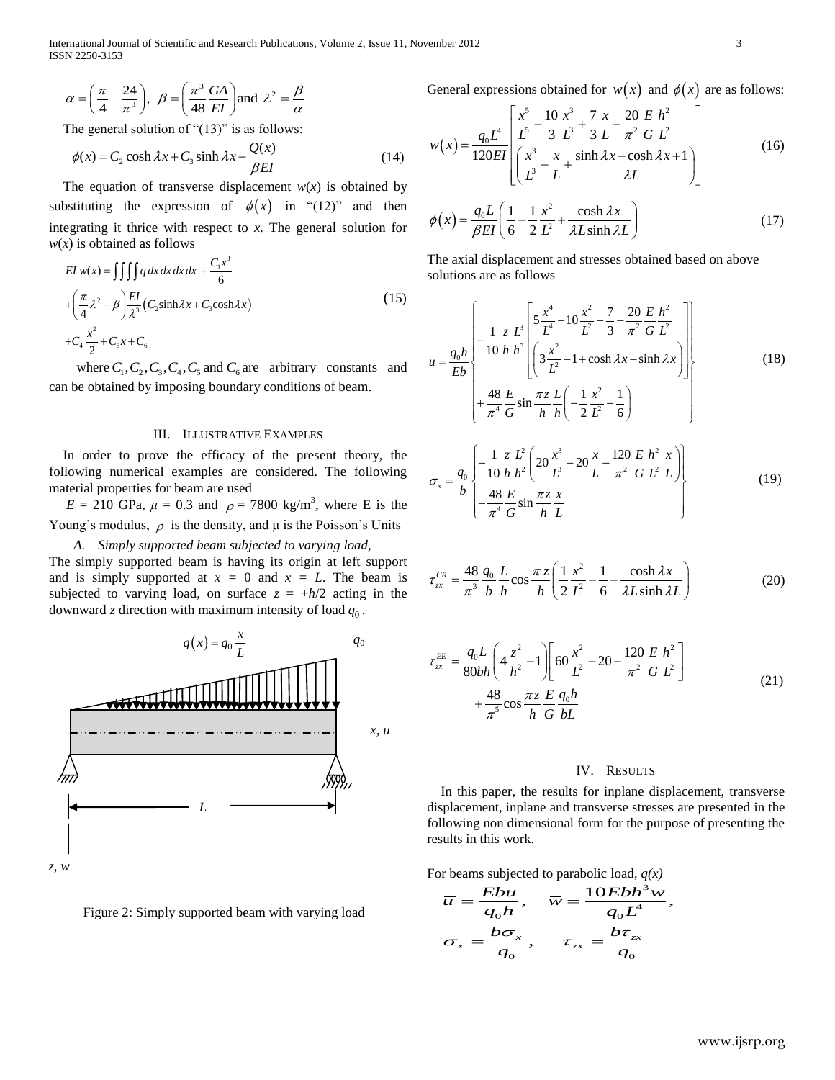$$
\alpha = \left(\frac{\pi}{4} - \frac{24}{\pi^3}\right), \ \beta = \left(\frac{\pi^3}{48} \frac{GA}{EI}\right)
$$
 and  $\lambda^2 = \frac{\beta}{\alpha}$ 

The general solution of "(13)" is as follows:  
\n
$$
\phi(x) = C_2 \cosh \lambda x + C_3 \sinh \lambda x - \frac{Q(x)}{\beta EI}
$$
\n(14)

The equation of transverse displacement  $w(x)$  is obtained by substituting the expression of  $\phi(x)$  in "(12)" and then integrating it thrice with respect to *x.* The general solution for

$$
w(x) \text{ is obtained as follows}
$$
  
\n
$$
EI w(x) = \iiint q dx dx dx + \frac{C_1 x^3}{6}
$$
  
\n
$$
+ \left(\frac{\pi}{4} \lambda^2 - \beta\right) \frac{EI}{\lambda^3} (C_2 \sinh \lambda x + C_3 \cosh \lambda x)
$$
  
\n
$$
+ C_4 \frac{x^2}{2} + C_5 x + C_6
$$
\n(15)

where  $C_1, C_2, C_3, C_4, C_5$  and  $C_6$  are arbitrary constants and can be obtained by imposing boundary conditions of beam.

#### III. ILLUSTRATIVE EXAMPLES

In order to prove the efficacy of the present theory, the following numerical examples are considered. The following material properties for beam are used

 $E = 210 \text{ GPa}, \mu = 0.3 \text{ and } \rho = 7800 \text{ kg/m}^3$ , where E is the Young's modulus,  $\rho$  is the density, and  $\mu$  is the Poisson's Units

*A. Simply supported beam subjected to varying load,*  The simply supported beam is having its origin at left support and is simply supported at  $x = 0$  and  $x = L$ . The beam is subjected to varying load, on surface  $z = +h/2$  acting in the downward  $z$  direction with maximum intensity of load  $q_0$ .



Figure 2: Simply supported beam with varying load

General expressions obtained for 
$$
w(x)
$$
 and  $\phi(x)$  are as follows:  
\n
$$
w(x) = \frac{q_0 L^4}{120EI} \left[ \frac{x^5}{L^5} - \frac{10}{3} \frac{x^3}{L^3} + \frac{7}{3} \frac{x}{L} - \frac{20}{\pi^2} \frac{E h^2}{G L^2} + \frac{20}{120EI} \left[ \frac{x^3}{L^3} - \frac{x}{L} + \frac{\sinh \lambda x - \cosh \lambda x + 1}{\lambda L} \right] \right]
$$
\n(16)

$$
\phi(x) = \frac{q_0 L}{\beta EI} \left( \frac{1}{6} - \frac{1}{2} \frac{x^2}{L^2} + \frac{\cosh \lambda x}{\lambda L \sinh \lambda L} \right)
$$
(17)

The axial displacement and stresses obtained based on above solutions are as follows

$$
u = \frac{q_0 h}{Eb} \left\{ -\frac{1}{10} \frac{z}{h} \frac{L^3}{h^3} \left[ \frac{5 \frac{x^4}{L^4} - 10 \frac{x^2}{L^2} + \frac{7}{3} - \frac{20}{\pi^2} \frac{E}{G} \frac{h^2}{L^2}}{\left( 3 \frac{x^2}{L^2} - 1 + \cosh \lambda x - \sinh \lambda x \right)} \right] + \frac{48}{\pi^4} \frac{E}{G} \sin \frac{\pi z}{h} \frac{L}{h} \left( -\frac{1}{2} \frac{x^2}{L^2} + \frac{1}{6} \right) \tag{18}
$$

$$
\sigma_x = \frac{q_0}{b} \begin{bmatrix} -\frac{1}{10} \frac{z}{h} \frac{L^2}{h^2} \left( 20 \frac{x^3}{L^3} - 20 \frac{x}{L} - \frac{120}{\pi^2} \frac{E}{G} \frac{h^2}{L^2} \frac{x}{L} \right) \\ -\frac{48}{\pi^4} \frac{E}{G} \sin \frac{\pi z}{h} \frac{x}{L} \end{bmatrix}
$$
(19)

$$
\tau_{xx}^{CR} = \frac{48}{\pi^3} \frac{q_0}{b} \frac{L}{h} \cos \frac{\pi z}{h} \left( \frac{1}{2} \frac{x^2}{L^2} - \frac{1}{6} - \frac{\cosh \lambda x}{\lambda L \sinh \lambda L} \right)
$$
(20)

$$
\tau_{zx}^{EE} = \frac{q_0 L}{80bh} \left( 4 \frac{z^2}{h^2} - 1 \right) \left[ 60 \frac{x^2}{L^2} - 20 - \frac{120}{\pi^2} \frac{E}{G} \frac{h^2}{L^2} \right] + \frac{48}{\pi^5} \cos \frac{\pi z}{h} \frac{E}{G} \frac{q_0 h}{bL}
$$
\n(21)

## IV. RESULTS

 In this paper, the results for inplane displacement, transverse displacement, inplane and transverse stresses are presented in the following non dimensional form for the purpose of presenting the results in this work.

For beams subjected to parabolic load, 
$$
q(x)
$$
  
\n
$$
\overline{u} = \frac{Ebu}{q_0h}, \quad \overline{w} = \frac{10Ebh^3w}{q_0L^4},
$$
\n
$$
\overline{\sigma}_x = \frac{b\sigma_x}{q_0}, \quad \overline{\tau}_{zx} = \frac{b\tau_{zx}}{q_0}
$$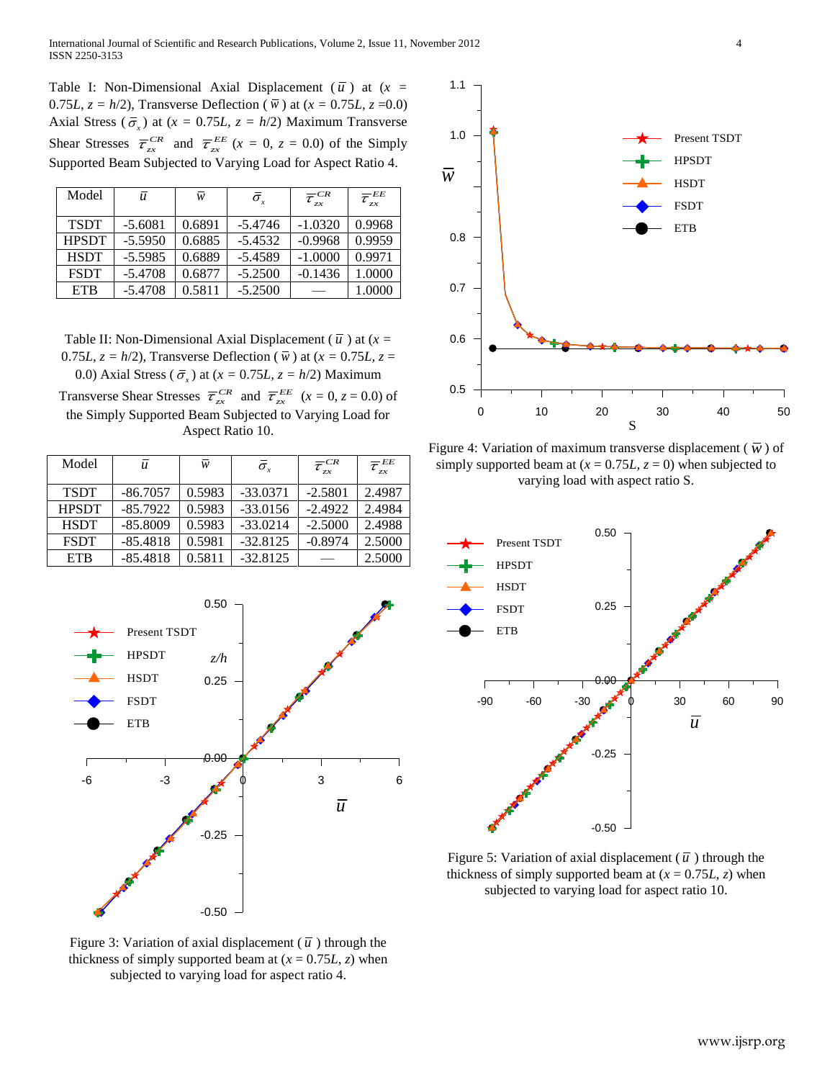Table I: Non-Dimensional Axial Displacement  $(\bar{u})$  at  $(x =$ 0.75*L*,  $z = h/2$ ), Transverse Deflection ( $\bar{w}$ ) at ( $x = 0.75L$ ,  $z = 0.0$ ) Axial Stress ( $\bar{\sigma}_x$ ) at ( $x = 0.75L$ ,  $z = h/2$ ) Maximum Transverse Shear Stresses  $\overline{\tau}_{zx}^{CR}$  and  $\overline{\tau}_{zx}^{EE}$  ( $x = 0, z = 0.0$ ) of the Simply Supported Beam Subjected to Varying Load for Aspect Ratio 4.

| Model        | $\bar{u}$ | w      | $\bar{\sigma}_{\scriptscriptstyle{r}}$ | $\overline{\tau}_{zx}^{CR}$ | $\overline{\tau}_{zx}^{EE}$ |
|--------------|-----------|--------|----------------------------------------|-----------------------------|-----------------------------|
| <b>TSDT</b>  | $-5.6081$ | 0.6891 | $-5.4746$                              | $-1.0320$                   | 0.9968                      |
| <b>HPSDT</b> | $-5.5950$ | 0.6885 | $-5.4532$                              | $-0.9968$                   | 0.9959                      |
| <b>HSDT</b>  | $-5.5985$ | 0.6889 | $-5.4589$                              | $-1.0000$                   | 0.9971                      |
| <b>FSDT</b>  | $-5.4708$ | 0.6877 | $-5.2500$                              | $-0.1436$                   | 1.0000                      |
| <b>ETB</b>   | $-5.4708$ | 0.5811 | $-5.2500$                              |                             | 1.0000                      |

Table II: Non-Dimensional Axial Displacement ( $\bar{u}$ ) at ( $x =$ 0.75*L*,  $z = h/2$ ), Transverse Deflection ( $\overline{w}$ ) at ( $x = 0.75L$ ,  $z =$ 0.0) Axial Stress ( $\bar{\sigma}_x$ ) at ( $x = 0.75L$ ,  $z = h/2$ ) Maximum Transverse Shear Stresses  $\overline{\tau}_{zx}^{CR}$  and  $\overline{\tau}_{zx}^{EE}$  ( $x = 0, z = 0.0$ ) of

| Transverse sincar subsists $v_{\tau r}$ and $v_{\tau r}$ ( $\lambda = 0, \lambda = 0.0$ ) or |                  |  |  |
|----------------------------------------------------------------------------------------------|------------------|--|--|
| the Simply Supported Beam Subjected to Varying Load for                                      |                  |  |  |
|                                                                                              | Aspect Ratio 10. |  |  |

| Model        | $\boldsymbol{u}$ | w      | $\bar{\sigma}_r$ | $\overline{\tau}_{zx}^{~CR}$ | $\overline{\tau}_{_{\rm zx}}^{_{\rm EE}}$ |
|--------------|------------------|--------|------------------|------------------------------|-------------------------------------------|
| <b>TSDT</b>  | $-86.7057$       | 0.5983 | $-33.0371$       | $-2.5801$                    | 2.4987                                    |
| <b>HPSDT</b> | $-85.7922$       | 0.5983 | $-33.0156$       | $-2.4922$                    | 2.4984                                    |
| <b>HSDT</b>  | $-85.8009$       | 0.5983 | $-33.0214$       | $-2.5000$                    | 2.4988                                    |
| <b>FSDT</b>  | $-85.4818$       | 0.5981 | $-32.8125$       | $-0.8974$                    | 2.5000                                    |
| <b>ETB</b>   | $-85.4818$       | 0.5811 | $-32.8125$       |                              | 2.5000                                    |



Figure 3: Variation of axial displacement ( $\bar{u}$ ) through the thickness of simply supported beam at  $(x = 0.75L, z)$  when subjected to varying load for aspect ratio 4.



Figure 4: Variation of maximum transverse displacement ( $\overline{w}$ ) of simply supported beam at  $(x = 0.75L, z = 0)$  when subjected to varying load with aspect ratio S.



Figure 5: Variation of axial displacement ( $\bar{u}$ ) through the thickness of simply supported beam at  $(x = 0.75L, z)$  when subjected to varying load for aspect ratio 10.

www.ijsrp.org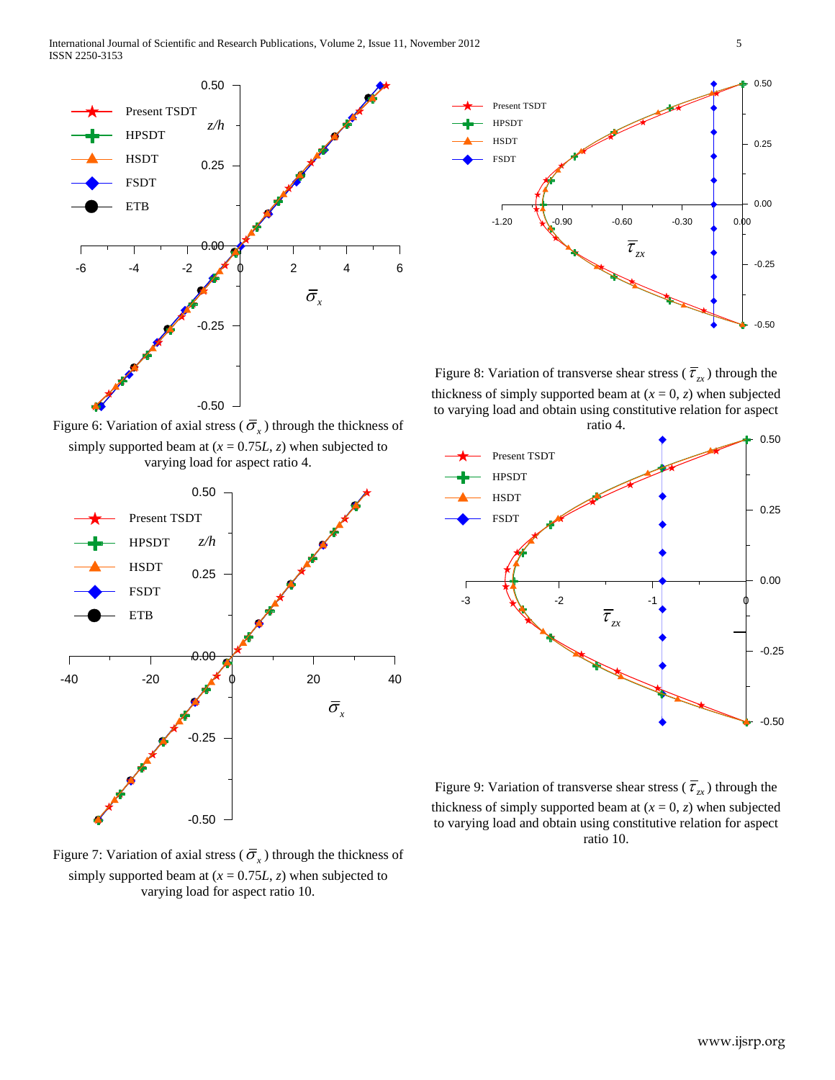

Figure 6: Variation of axial stress ( $\overline{\sigma}_x$ ) through the thickness of simply supported beam at  $(x = 0.75L, z)$  when subjected to varying load for aspect ratio 4.



Figure 7: Variation of axial stress ( $\overline{\sigma}_x$ ) through the thickness of simply supported beam at  $(x = 0.75L, z)$  when subjected to varying load for aspect ratio 10.



Figure 8: Variation of transverse shear stress ( $\overline{\tau}_{zx}$ ) through the thickness of simply supported beam at  $(x = 0, z)$  when subjected to varying load and obtain using constitutive relation for aspect ratio 4.



Figure 9: Variation of transverse shear stress ( $\overline{\tau}_{zx}$ ) through the thickness of simply supported beam at  $(x = 0, z)$  when subjected to varying load and obtain using constitutive relation for aspect ratio 10.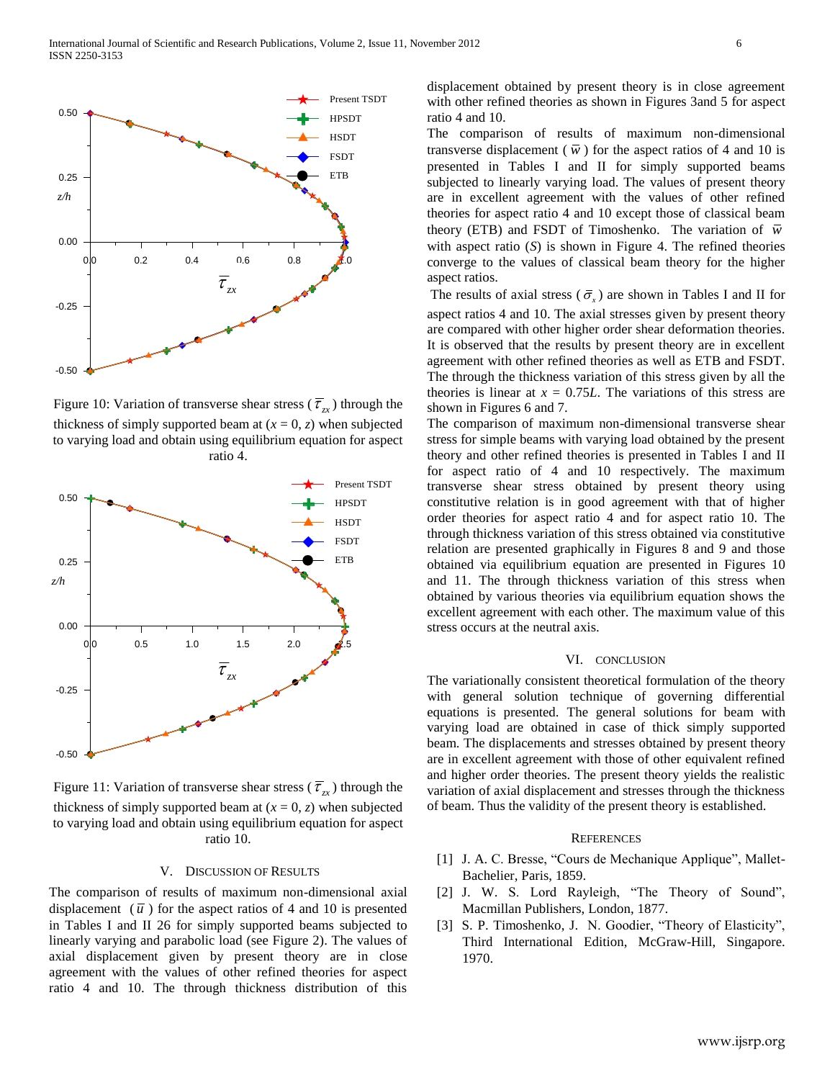

Figure 10: Variation of transverse shear stress ( $\overline{\tau}_{zx}$ ) through the thickness of simply supported beam at  $(x = 0, z)$  when subjected to varying load and obtain using equilibrium equation for aspect ratio 4.



Figure 11: Variation of transverse shear stress ( $\overline{\tau}_{zx}$ ) through the thickness of simply supported beam at  $(x = 0, z)$  when subjected to varying load and obtain using equilibrium equation for aspect ratio 10.

#### V. DISCUSSION OF RESULTS

The comparison of results of maximum non-dimensional axial displacement  $(\bar{u})$  for the aspect ratios of 4 and 10 is presented in Tables I and II 26 for simply supported beams subjected to linearly varying and parabolic load (see Figure 2). The values of axial displacement given by present theory are in close agreement with the values of other refined theories for aspect ratio 4 and 10. The through thickness distribution of this

displacement obtained by present theory is in close agreement with other refined theories as shown in Figures 3and 5 for aspect ratio 4 and 10.

The comparison of results of maximum non-dimensional transverse displacement ( $\overline{w}$ ) for the aspect ratios of 4 and 10 is presented in Tables I and II for simply supported beams subjected to linearly varying load. The values of present theory are in excellent agreement with the values of other refined theories for aspect ratio 4 and 10 except those of classical beam theory (ETB) and FSDT of Timoshenko. The variation of  $\overline{w}$ with aspect ratio (*S*) is shown in Figure 4. The refined theories converge to the values of classical beam theory for the higher aspect ratios.

The results of axial stress ( $\bar{\sigma}_x$ ) are shown in Tables I and II for aspect ratios 4 and 10. The axial stresses given by present theory are compared with other higher order shear deformation theories. It is observed that the results by present theory are in excellent agreement with other refined theories as well as ETB and FSDT. The through the thickness variation of this stress given by all the theories is linear at  $x = 0.75L$ . The variations of this stress are shown in Figures 6 and 7.

The comparison of maximum non-dimensional transverse shear stress for simple beams with varying load obtained by the present theory and other refined theories is presented in Tables I and II for aspect ratio of 4 and 10 respectively. The maximum transverse shear stress obtained by present theory using constitutive relation is in good agreement with that of higher order theories for aspect ratio 4 and for aspect ratio 10. The through thickness variation of this stress obtained via constitutive relation are presented graphically in Figures 8 and 9 and those obtained via equilibrium equation are presented in Figures 10 and 11. The through thickness variation of this stress when obtained by various theories via equilibrium equation shows the excellent agreement with each other. The maximum value of this stress occurs at the neutral axis.

#### VI. CONCLUSION

The variationally consistent theoretical formulation of the theory with general solution technique of governing differential equations is presented. The general solutions for beam with varying load are obtained in case of thick simply supported beam. The displacements and stresses obtained by present theory are in excellent agreement with those of other equivalent refined and higher order theories. The present theory yields the realistic variation of axial displacement and stresses through the thickness of beam. Thus the validity of the present theory is established.

## **REFERENCES**

- [1] J. A. C. Bresse, "Cours de Mechanique Applique", Mallet-Bachelier, Paris, 1859.
- [2] J. W. S. Lord Rayleigh, "The Theory of Sound", Macmillan Publishers, London, 1877.
- [3] S. P. Timoshenko, J. N. Goodier, "Theory of Elasticity", Third International Edition, McGraw-Hill, Singapore. 1970.